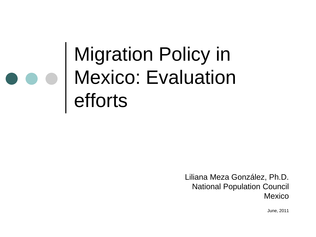### Migration Policy in Mexico: Evaluation efforts

Liliana Meza González, Ph.D. National Population Council Mexico

June, 2011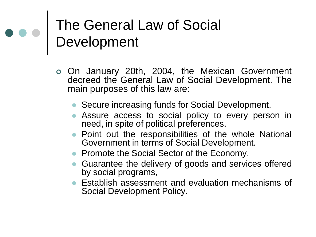### The General Law of Social Development

- On January 20th, 2004, the Mexican Government decreed the General Law of Social Development. The main purposes of this law are:
	- Secure increasing funds for Social Development.
	- Assure access to social policy to every person in need, in spite of political preferences.
	- Point out the responsibilities of the whole National Government in terms of Social Development.
	- Promote the Social Sector of the Economy.
	- Guarantee the delivery of goods and services offered by social programs,
	- Establish assessment and evaluation mechanisms of Social Development Policy.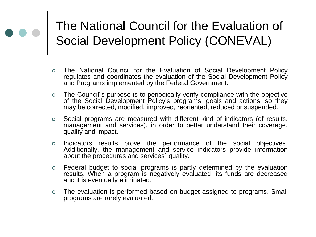#### The National Council for the Evaluation of Social Development Policy (CONEVAL)

- The National Council for the Evaluation of Social Development Policy regulates and coordinates the evaluation of the Social Development Policy and Programs implemented by the Federal Government.
- The Council´s purpose is to periodically verify compliance with the objective of the Social Development Policy's programs, goals and actions, so they may be corrected, modified, improved, reoriented, reduced or suspended.
- Social programs are measured with different kind of indicators (of results, management and services), in order to better understand their coverage, quality and impact.
- o Indicators results prove the performance of the social objectives. Additionally, the management and service indicators provide information about the procedures and services´ quality.
- Federal budget to social programs is partly determined by the evaluation results. When a program is negatively evaluated, its funds are decreased and it is eventually eliminated.
- The evaluation is performed based on budget assigned to programs. Small programs are rarely evaluated.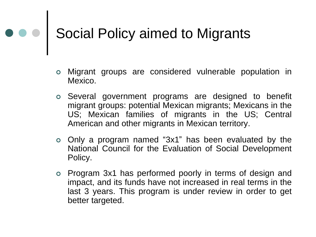# **Social Policy aimed to Migrants**

- Migrant groups are considered vulnerable population in Mexico.
- Several government programs are designed to benefit migrant groups: potential Mexican migrants; Mexicans in the US; Mexican families of migrants in the US; Central American and other migrants in Mexican territory.
- Only a program named "3x1" has been evaluated by the National Council for the Evaluation of Social Development Policy.
- Program 3x1 has performed poorly in terms of design and impact, and its funds have not increased in real terms in the last 3 years. This program is under review in order to get better targeted.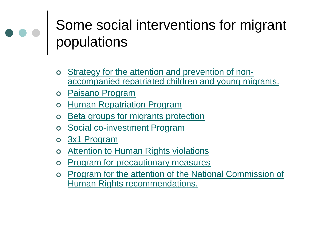### Some social interventions for migrant populations

- o [Strategy for the attention and prevention of non](#page-6-0)[accompanied repatriated children and young migrants.](#page-6-0)
- [Paisano Program](#page-7-0)
- o [Human Repatriation Program](#page-8-0)
- o [Beta groups for migrants protection](#page-9-0)
- [Social co-investment Program](#page-10-0)
- o [3x1 Program](#page-11-0)
- o **[Attention to Human Rights violations](#page-12-0)**
- o [Program for precautionary measures](#page-13-0)
- o Program for the attention of the National Commission of [Human Rights recommendations.](#page-14-0)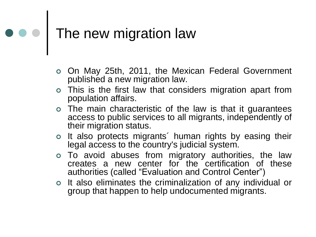# $\bullet \bullet \bullet$  The new migration law

- On May 25th, 2011, the Mexican Federal Government published a new migration law.
- This is the first law that considers migration apart from population affairs.
- The main characteristic of the law is that it guarantees access to public services to all migrants, independently of their migration status.
- o It also protects migrants' human rights by easing their legal access to the country's judicial system.
- To avoid abuses from migratory authorities, the law creates a new center for the certification of these authorities (called "Evaluation and Control Center")
- o It also eliminates the criminalization of any individual or group that happen to help undocumented migrants.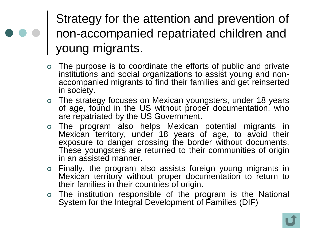Strategy for the attention and prevention of non-accompanied repatriated children and young migrants.

- The purpose is to coordinate the efforts of public and private institutions and social organizations to assist young and nonaccompanied migrants to find their families and get reinserted in society.
- The strategy focuses on Mexican youngsters, under 18 years of age, found in the US without proper documentation, who are repatriated by the US Government.
- The program also helps Mexican potential migrants in Mexican territory, under 18 years of age, to avoid their exposure to danger crossing the border without documents. These youngsters are returned to their communities of origin in an assisted manner.
- Finally, the program also assists foreign young migrants in Mexican territory without proper documentation to return to their families in their countries of origin.
- <span id="page-6-0"></span> The institution responsible of the program is the National System for the Integral Development of Families (DIF)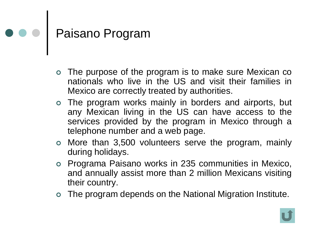## Paisano Program

- The purpose of the program is to make sure Mexican co nationals who live in the US and visit their families in Mexico are correctly treated by authorities.
- The program works mainly in borders and airports, but any Mexican living in the US can have access to the services provided by the program in Mexico through a telephone number and a web page.
- More than 3,500 volunteers serve the program, mainly during holidays.
- Programa Paisano works in 235 communities in Mexico, and annually assist more than 2 million Mexicans visiting their country.
- <span id="page-7-0"></span>The program depends on the National Migration Institute.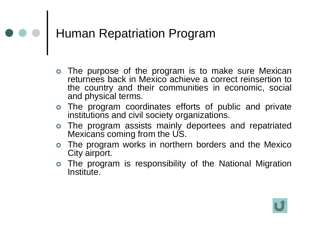## Human Repatriation Program

- The purpose of the program is to make sure Mexican returnees back in Mexico achieve a correct reinsertion to the country and their communities in economic, social and physical terms.
- The program coordinates efforts of public and private institutions and civil society organizations.
- The program assists mainly deportees and repatriated Mexicans coming from the US.
- The program works in northern borders and the Mexico City airport.
- <span id="page-8-0"></span> The program is responsibility of the National Migration Institute.

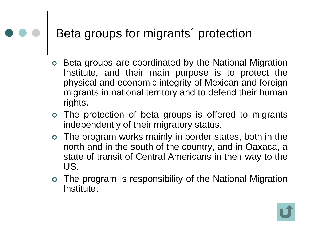## **Beta groups for migrants' protection**

- Beta groups are coordinated by the National Migration Institute, and their main purpose is to protect the physical and economic integrity of Mexican and foreign migrants in national territory and to defend their human rights.
- The protection of beta groups is offered to migrants independently of their migratory status.
- The program works mainly in border states, both in the north and in the south of the country, and in Oaxaca, a state of transit of Central Americans in their way to the US.
- <span id="page-9-0"></span> The program is responsibility of the National Migration Institute.

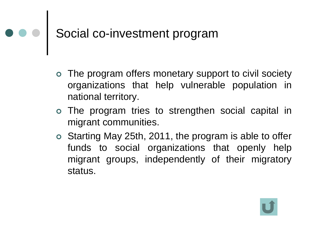## Social co-investment program

- The program offers monetary support to civil society organizations that help vulnerable population in national territory.
- The program tries to strengthen social capital in migrant communities.
- <span id="page-10-0"></span> Starting May 25th, 2011, the program is able to offer funds to social organizations that openly help migrant groups, independently of their migratory status.

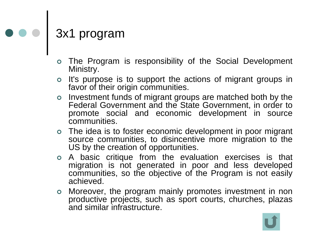# e e 3x1 program

- The Program is responsibility of the Social Development Ministry.
- o It's purpose is to support the actions of migrant groups in favor of their origin communities.
- o Investment funds of migrant groups are matched both by the Federal Government and the State Government, in order to promote social and economic development in source communities.
- The idea is to foster economic development in poor migrant source communities, to disincentive more migration to the US by the creation of opportunities.
- A basic critique from the evaluation exercises is that migration is not generated in poor and less developed communities, so the objective of the Program is not easily achieved.
- <span id="page-11-0"></span> Moreover, the program mainly promotes investment in non productive projects, such as sport courts, churches, plazas and similar infrastructure.

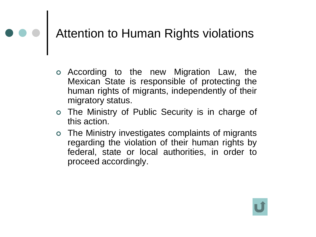# **Attention to Human Rights violations**

- According to the new Migration Law, the Mexican State is responsible of protecting the human rights of migrants, independently of their migratory status.
- The Ministry of Public Security is in charge of this action.
- <span id="page-12-0"></span> The Ministry investigates complaints of migrants regarding the violation of their human rights by federal, state or local authorities, in order to proceed accordingly.

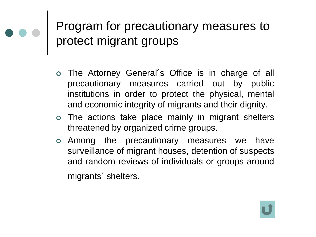#### Program for precautionary measures to protect migrant groups

- The Attorney General´s Office is in charge of all precautionary measures carried out by public institutions in order to protect the physical, mental and economic integrity of migrants and their dignity.
- The actions take place mainly in migrant shelters threatened by organized crime groups.
- <span id="page-13-0"></span> Among the precautionary measures we have surveillance of migrant houses, detention of suspects and random reviews of individuals or groups around migrants´ shelters.